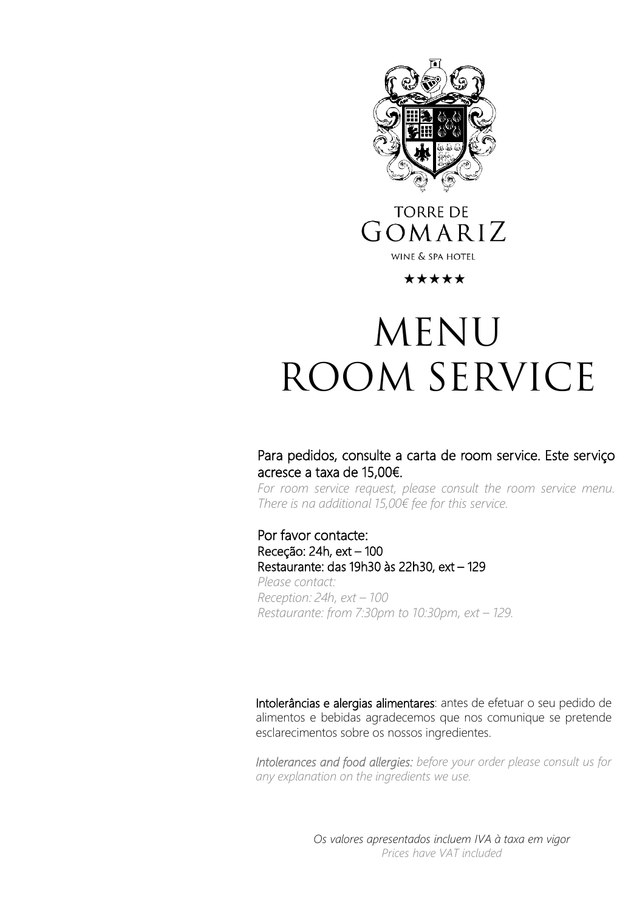

## **TORRE DE** GOMARIZ WINE & SPA HOTEL

### \*\*\*\*\*

# **MENU ROOM SERVICE**

### Para pedidos, consulte a carta de room service. Este serviço acresce a taxa de 15,00€.

*For room service request, please consult the room service menu. There is na additional 15,00€ fee for this service.*

### Por favor contacte: Receção: 24h, ext – 100 Restaurante: das 19h30 às 22h30, ext – 129

*Please contact: Reception: 24h, ext – 100 Restaurante: from 7:30pm to 10:30pm, ext – 129.*

Intolerâncias e alergias alimentares: antes de efetuar o seu pedido de alimentos e bebidas agradecemos que nos comunique se pretende esclarecimentos sobre os nossos ingredientes.

*Intolerances and food allergies: before your order please consult us for any explanation on the ingredients we use.*

> *Os valores apresentados incluem IVA à taxa em vigor Prices have VAT included*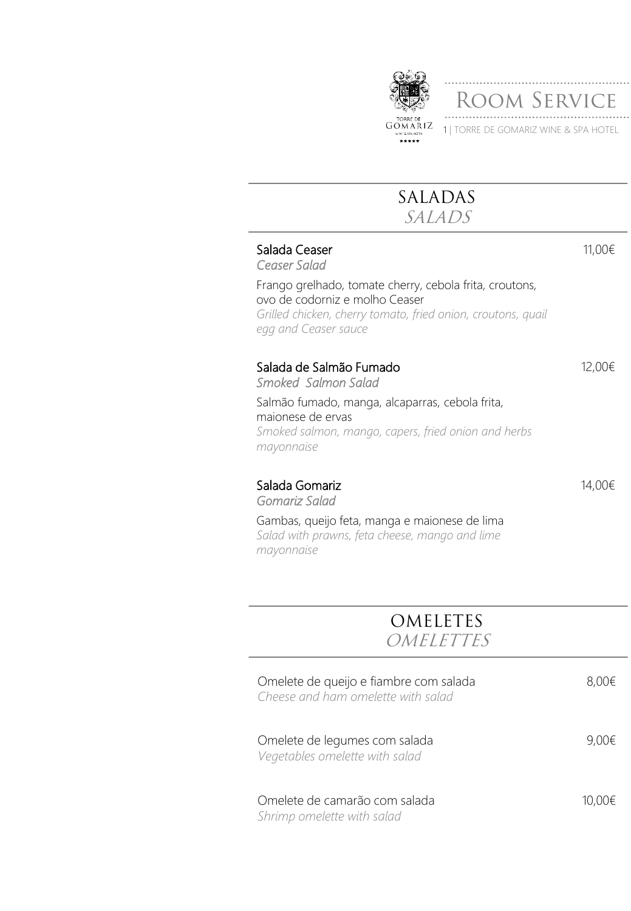

# **SALADAS**

**SALADS**

### Salada Ceaser

*Ceaser Salad*

Frango grelhado, tomate cherry, cebola frita, croutons, ovo de codorniz e molho Ceaser *Grilled chicken, cherry tomato, fried onion, croutons, quail egg and Ceaser sauce*

### Salada de Salmão Fumado

*Smoked Salmon Salad*

Salmão fumado, manga, alcaparras, cebola frita, maionese de ervas *Smoked salmon, mango, capers, fried onion and herbs mayonnaise*

# Salada Gomariz

*Gomariz Salad*

14,00€

11,00€

12,00€

Gambas, queijo feta, manga e maionese de lima *Salad with prawns, feta cheese, mango and lime mayonnaise*

### **OMELETES OMELETTES**

| Omelete de queijo e fiambre com salada<br>Cheese and ham omelette with salad | $8.00\epsilon$ |
|------------------------------------------------------------------------------|----------------|
| Omelete de legumes com salada<br>Vegetables omelette with salad              | $9,00 \notin$  |
| Omelete de camarão com salada<br>Shrimp omelette with salad                  | 10.00€         |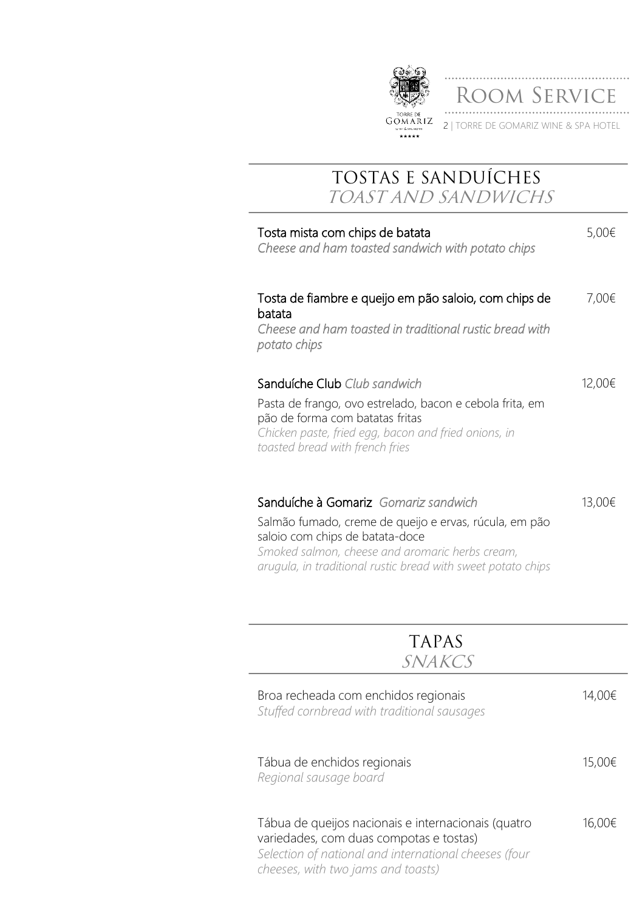

ROOM SERVICE 2 | TORRE DE GOMARIZ WINE & SPA HOTEL

# **TOSTAS E SANDUÍCHES TOAST AND SANDWICHS**

| Tosta mista com chips de batata<br>Cheese and ham toasted sandwich with potato chips                                                                                                                                                                 | 5,00€  |
|------------------------------------------------------------------------------------------------------------------------------------------------------------------------------------------------------------------------------------------------------|--------|
| Tosta de fiambre e queijo em pão saloio, com chips de<br>batata<br>Cheese and ham toasted in traditional rustic bread with<br>potato chips                                                                                                           | 7,00€  |
| Sanduíche Club Club sandwich<br>Pasta de frango, ovo estrelado, bacon e cebola frita, em<br>pão de forma com batatas fritas<br>Chicken paste, fried egg, bacon and fried onions, in<br>toasted bread with french fries                               | 12,00€ |
| Sanduíche à Gomariz Gomariz sandwich<br>Salmão fumado, creme de queijo e ervas, rúcula, em pão<br>saloio com chips de batata-doce<br>Smoked salmon, cheese and aromaric herbs cream,<br>arugula, in traditional rustic bread with sweet potato chips | 13,00€ |

| <b>TAPAS</b><br>SNAKCS                                                                                                                                                                        |        |
|-----------------------------------------------------------------------------------------------------------------------------------------------------------------------------------------------|--------|
| Broa recheada com enchidos regionais<br>Stuffed cornbread with traditional sausages                                                                                                           | 14,00€ |
| Tábua de enchidos regionais<br>Regional sausage board                                                                                                                                         | 15,00€ |
| Tábua de queijos nacionais e internacionais (quatro<br>variedades, com duas compotas e tostas)<br>Selection of national and international cheeses (four<br>cheeses, with two jams and toasts) | 16.00€ |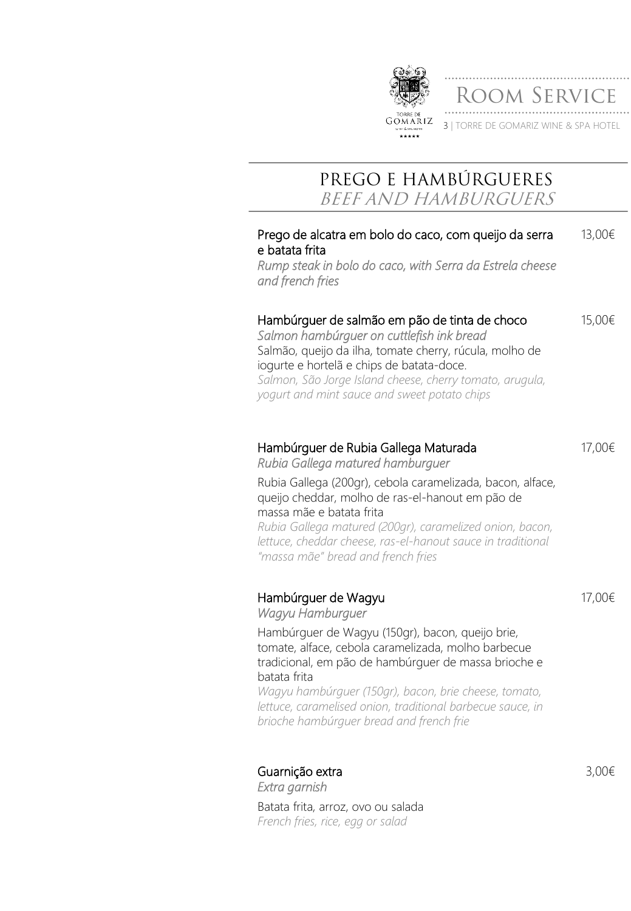

3 | TORRE DE GOMARIZ WINE & SPA HOTEL

dom Service

### **PREGO E HAMBÚRGUERES BEEF AND HAMBURGUERS**

| Prego de alcatra em bolo do caco, com queijo da serra    | 13,00€ |
|----------------------------------------------------------|--------|
| e batata frita                                           |        |
| Rump steak in bolo do caco, with Serra da Estrela cheese |        |
| and french fries                                         |        |

#### Hambúrguer de salmão em pão de tinta de choco 15,00€

*Salmon hambúrguer on cuttlefish ink bread* Salmão, queijo da ilha, tomate cherry, rúcula, molho de iogurte e hortelã e chips de batata-doce. *Salmon, São Jorge Island cheese, cherry tomato, arugula, yogurt and mint sauce and sweet potato chips*

### Hambúrguer de Rubia Gallega Maturada

*Rubia Gallega matured hamburguer*

17,00€

17,00€

Rubia Gallega (200gr), cebola caramelizada, bacon, alface, queijo cheddar, molho de ras-el-hanout em pão de massa mãe e batata frita

*Rubia Gallega matured (200gr), caramelized onion, bacon, lettuce, cheddar cheese, ras-el-hanout sauce in traditional "massa mãe" bread and french fries*

### Hambúrguer de Wagyu

*Wagyu Hamburguer*

Hambúrguer de Wagyu (150gr), bacon, queijo brie, tomate, alface, cebola caramelizada, molho barbecue tradicional, em pão de hambúrguer de massa brioche e batata frita *Wagyu hambúrguer (150gr), bacon, brie cheese, tomato,* 

*lettuce, caramelised onion, traditional barbecue sauce, in brioche hambúrguer bread and french frie*

Guarnição extra *Extra garnish*

Batata frita, arroz, ovo ou salada *French fries, rice, egg or salad*

3,00€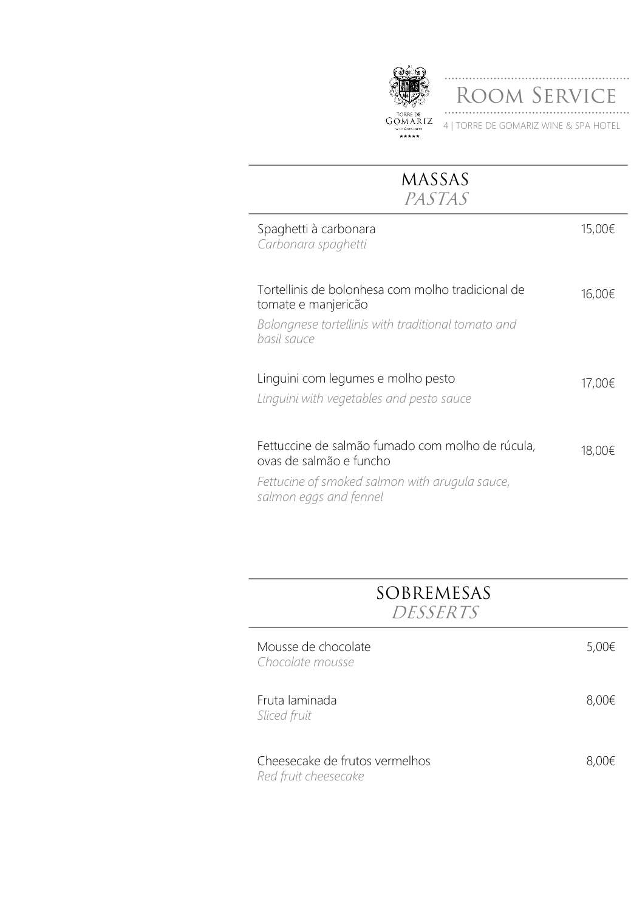

ROOM SERVICE 4 | TORRE DE GOMARIZ WINE & SPA HOTEL

| <b>MASSAS</b><br>PASTAS                                                                                                                                 |        |
|---------------------------------------------------------------------------------------------------------------------------------------------------------|--------|
| Spaghetti à carbonara<br>Carbonara spaghetti                                                                                                            | 15,00€ |
| Tortellinis de bolonhesa com molho tradicional de<br>tomate e manjericão<br>Bolongnese tortellinis with traditional tomato and<br>basil sauce           | 16,00€ |
| Linguini com legumes e molho pesto<br>Linguini with vegetables and pesto sauce                                                                          | 17,00€ |
| Fettuccine de salmão fumado com molho de rúcula,<br>ovas de salmão e funcho<br>Fettucine of smoked salmon with arugula sauce,<br>salmon eggs and fennel | 18,00€ |

# **SOBREMESAS DESSERTS**

| Mousse de chocolate<br>Chocolate mousse                | 5,00€ |
|--------------------------------------------------------|-------|
| Fruta laminada<br>Sliced fruit                         | 8,00€ |
| Cheesecake de frutos vermelhos<br>Red fruit cheesecake | 8,00€ |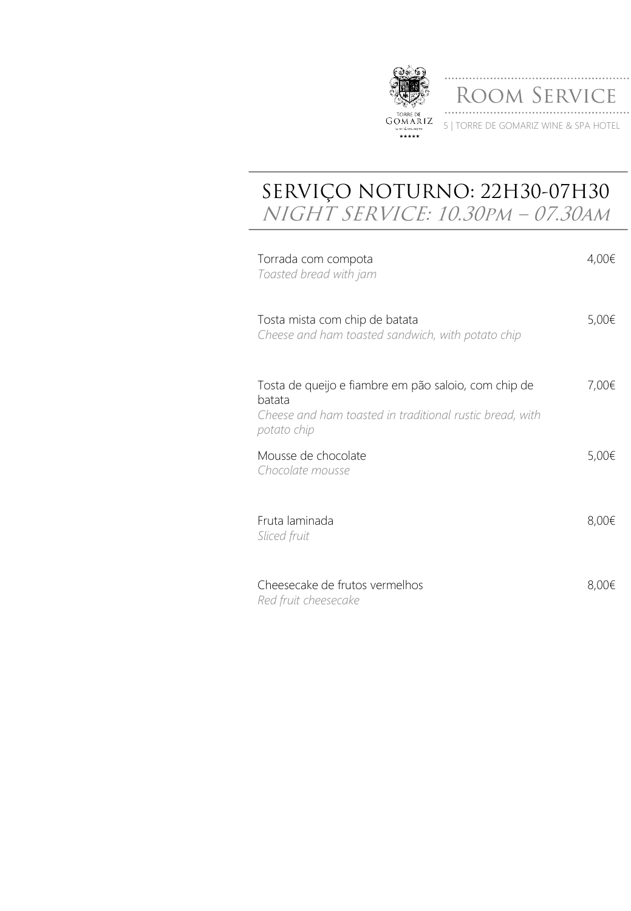

## **SERVIÇO NOTURNO: 22H30-07H30 NIGHT SERVICE: 10.30pm – 07.30am**

| Torrada com compota<br>Toasted bread with jam                                                                                             | 4,00€      |
|-------------------------------------------------------------------------------------------------------------------------------------------|------------|
| Tosta mista com chip de batata<br>Cheese and ham toasted sandwich, with potato chip                                                       | $5,00 \in$ |
| Tosta de queijo e fiambre em pão saloio, com chip de<br>batata<br>Cheese and ham toasted in traditional rustic bread, with<br>potato chip | 7,00€      |
| Mousse de chocolate<br>Chocolate mousse                                                                                                   | 5,00€      |
| Fruta laminada<br>Sliced fruit                                                                                                            | 8,00€      |
| Cheesecake de frutos vermelhos<br>Red fruit cheesecake                                                                                    | 8,00€      |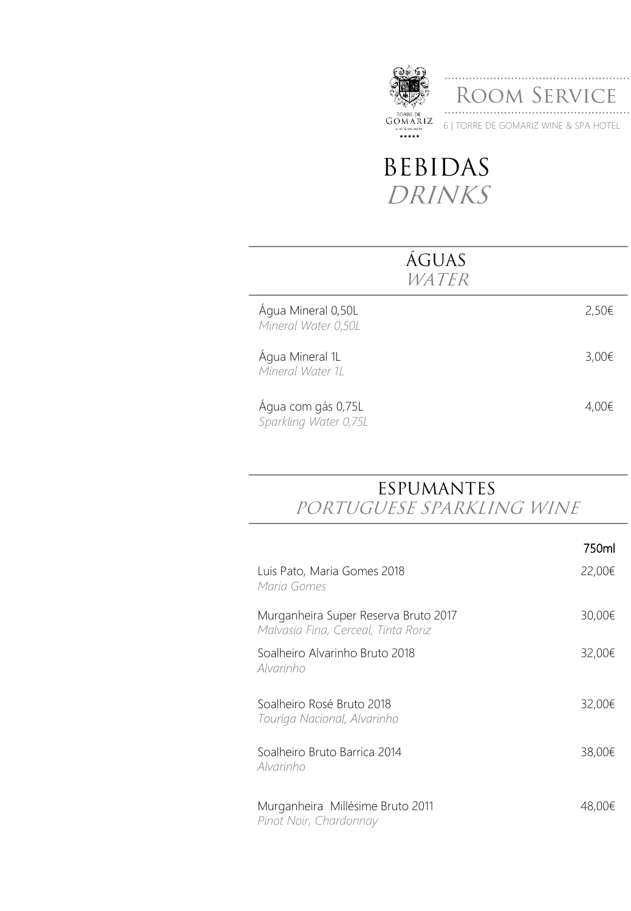

Room Service 6 | TORRE DE GOMARIZ WINE & SPA HOTEL

# **BEBIDAS DRINKS**

| <b>AGUAS</b><br><i>WATER</i>                |       |
|---------------------------------------------|-------|
| Água Mineral 0,50L<br>Mineral Water 0,50L   | 2,50€ |
| Água Mineral 1L<br>Mineral Water 1L         | 3,00€ |
| Água com gás 0,75L<br>Sparkling Water 0,75L | 4.00€ |

# **ESPUMANTES**

**PORTUGUESE SPARKLING WINE**

|                                                                             | 750ml  |
|-----------------------------------------------------------------------------|--------|
| Luis Pato, Maria Gomes 2018<br>Maria Gomes                                  | 22,00€ |
| Murganheira Super Reserva Bruto 2017<br>Malvasia Fina, Cerceal, Tinta Roriz | 30,00€ |
| Soalheiro Alvarinho Bruto 2018<br>Alvarinho                                 | 32,00€ |
| Soalheiro Rosé Bruto 2018<br>Touriga Nacional, Alvarinho                    | 32,00€ |
| Soalheiro Bruto Barrica 2014<br>Alvarinho                                   | 38,00€ |
| Murganheira Millésime Bruto 2011<br>Pinot Noir, Chardonnay                  | 48,00€ |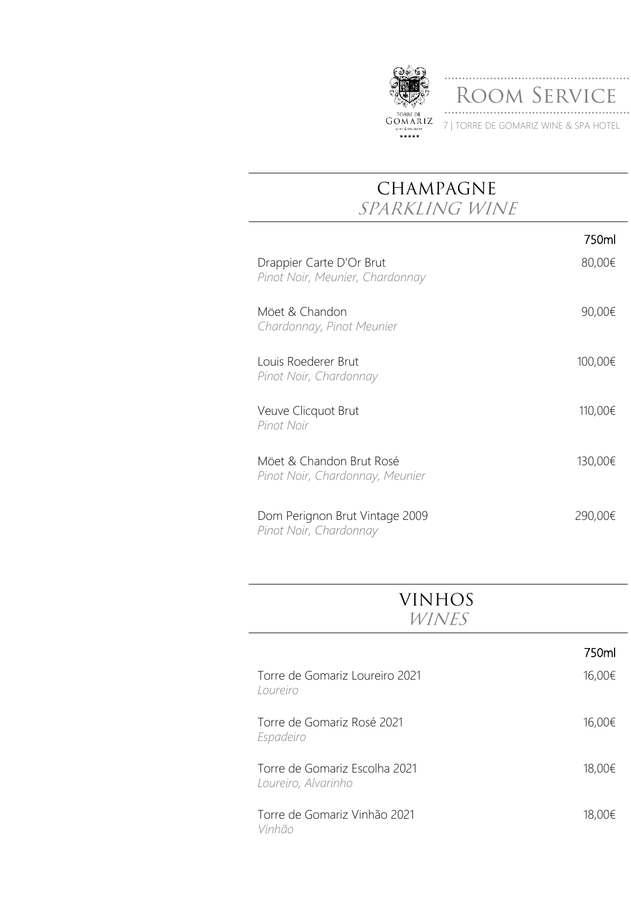

ROOM SERVICE 7 | TORRE DE GOMARIZ WINE & SPA HOTEL

### **CHAMPAGNE SPARKLING WINE**

|                                                             | 750ml   |
|-------------------------------------------------------------|---------|
| Drappier Carte D'Or Brut<br>Pinot Noir, Meunier, Chardonnay | 80,00€  |
| Möet & Chandon<br>Chardonnay, Pinot Meunier                 | 90,00€  |
| Louis Roederer Brut<br>Pinot Noir, Chardonnay               | 100,00€ |
| Veuve Clicquot Brut<br>Pinot Noir                           | 110,00€ |
| Möet & Chandon Brut Rosé<br>Pinot Noir, Chardonnay, Meunier | 130,00€ |
| Dom Perignon Brut Vintage 2009<br>Pinot Noir, Chardonnay    | 290,00€ |

| VINHOS       |
|--------------|
| <i>WINES</i> |

|                                                      | 750ml  |
|------------------------------------------------------|--------|
| Torre de Gomariz Loureiro 2021<br>Loureiro           | 16,00€ |
| Torre de Gomariz Rosé 2021<br>Espadeiro              | 16,00€ |
| Torre de Gomariz Escolha 2021<br>Loureiro, Alvarinho | 18,00€ |
| Torre de Gomariz Vinhão 2021<br>Vinhão               | 18,00€ |